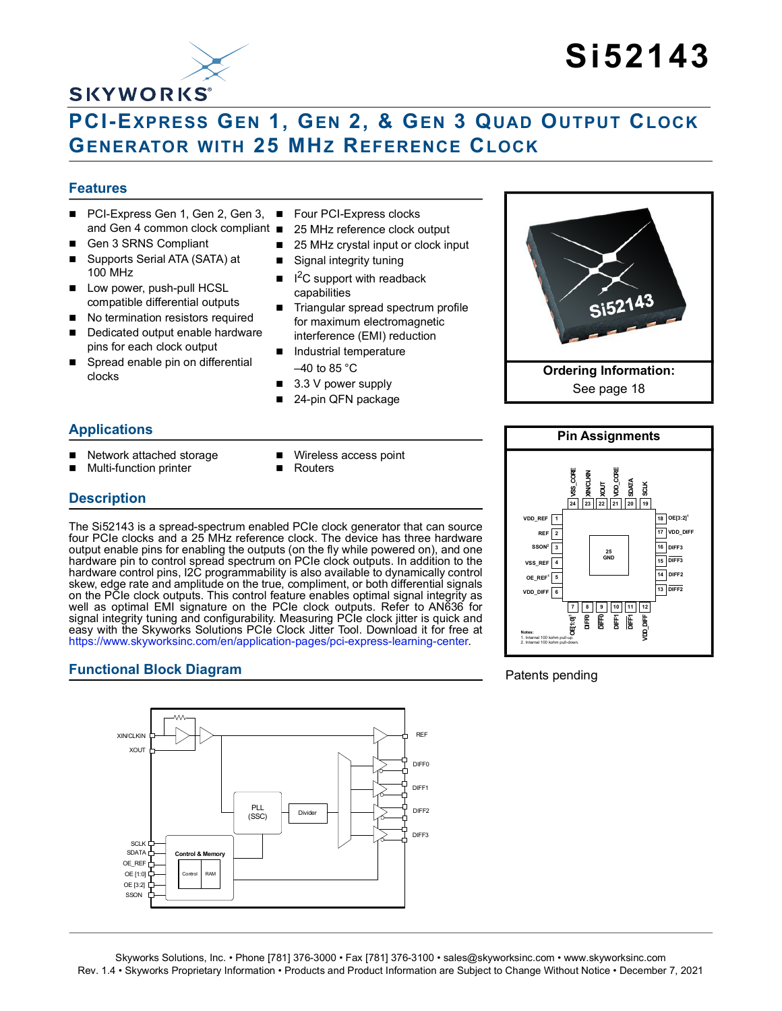## **SKYWORKS®**

# **Si52143**

## **PCI-EXPRESS GEN 1, GEN 2, & GEN 3 QUAD OUTPUT CLOCK GENERATOR WITH 25 MHZ REFERENCE CLOCK**

#### **Features**

- PCI-Express Gen 1, Gen 2, Gen 3, Four PCI-Express clocks and Gen 4 common clock compliant ■
- Gen 3 SRNS Compliant
- Supports Serial ATA (SATA) at 100 MHz
- Low power, push-pull HCSL compatible differential outputs
- No termination resistors required
- Dedicated output enable hardware pins for each clock output
- Spread enable pin on differential clocks
- 
- 25 MHz reference clock output
- 25 MHz crystal input or clock input
- Signal integrity tuning
- $\blacksquare$  $1<sup>2</sup>C$  support with readback capabilities
- Triangular spread spectrum profile for maximum electromagnetic interference (EMI) reduction
- Industrial temperature  $-40$  to 85 °C
- $\blacksquare$  3.3 V power supply
- 24-pin QFN package

#### **Applications**

**Description**

- Network attached storage
- Multi-function printer
- **Nireless access point**
- **Routers**

The Si52143 is a spread-spectrum enabled PCIe clock generator that can source four PCIe clocks and a 25 MHz reference clock. The device has three hardware output enable pins for enabling the outputs (on the fly while powered on), and one hardware pin to control spread spectrum on PCIe clock outputs. In addition to the hardware control pins, I2C programmability is also available to dynamically control skew, edge rate and amplitude on the true, compliment, or both differential signals on the PCIe clock outputs. This control feature enables optimal signal integrity as well as optimal EMI signature on the PCIe clock outputs. Refer to AN636 for signal integrity tuning and configurability. Measuring PCIe clock jitter is quick and easy with the Skyworks Solutions PCIe Clock Jitter Tool. Download it for free at [https://www.skyworksinc.com/en/application-pages/pci-express-learning-center.](https://www.skyworksinc.com/en/application-pages/pci-express-learning-center)

#### **Functional Block Diagram**







#### Patents pending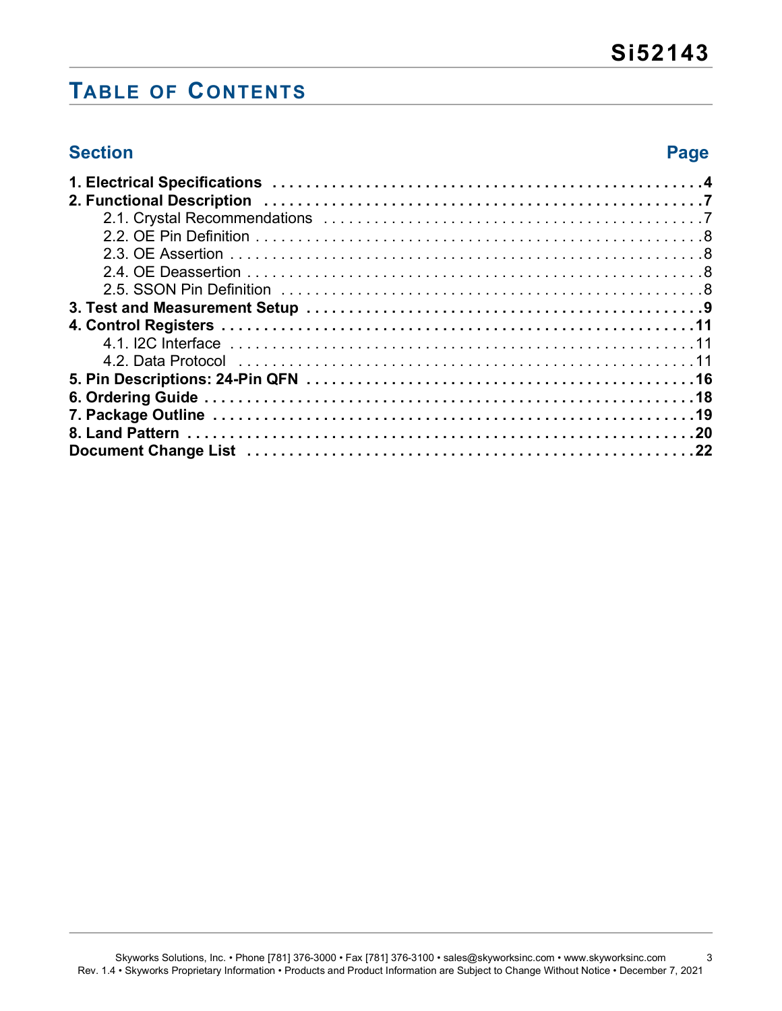## **TABLE OF CONTENTS**

## **Section Page**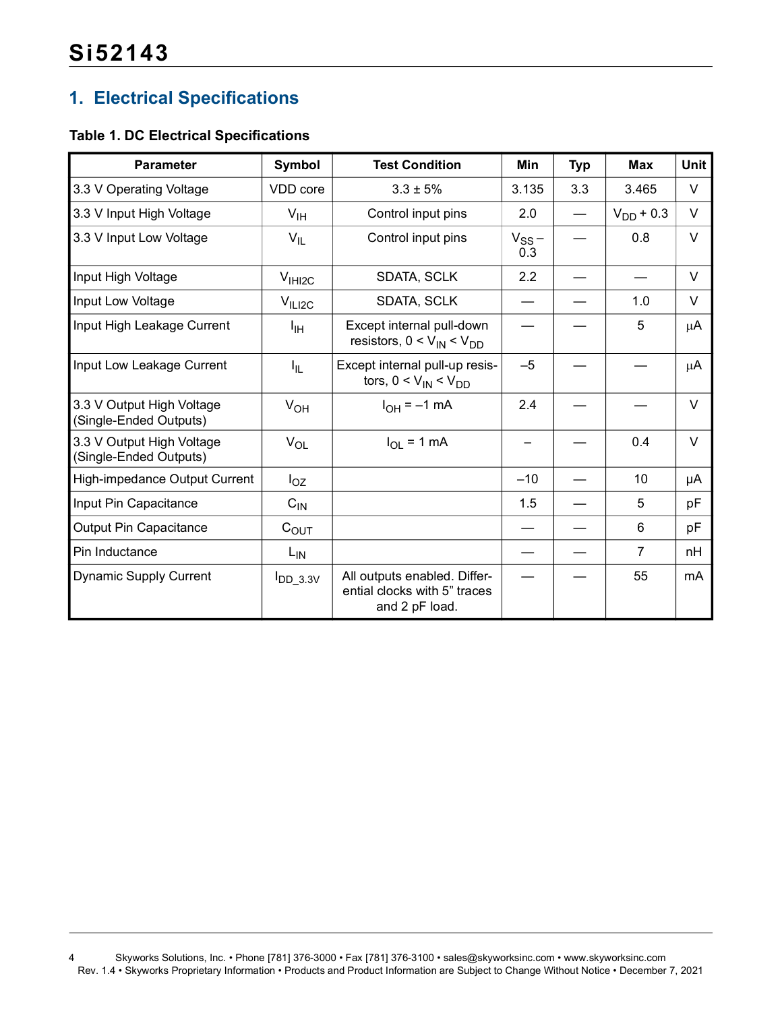## <span id="page-3-0"></span>**1. Electrical Specifications**

#### **Table 1. DC Electrical Specifications**

| <b>Parameter</b>                                    | Symbol             | <b>Test Condition</b>                                                          | <b>Min</b>        | <b>Typ</b> | <b>Max</b>     | <b>Unit</b> |
|-----------------------------------------------------|--------------------|--------------------------------------------------------------------------------|-------------------|------------|----------------|-------------|
| 3.3 V Operating Voltage                             | VDD core           | $3.3 \pm 5%$                                                                   | 3.135             | 3.3        | 3.465          | $\vee$      |
| 3.3 V Input High Voltage                            | $V_{\text{IH}}$    | Control input pins                                                             | 2.0               |            | $V_{DD}$ + 0.3 | $\vee$      |
| 3.3 V Input Low Voltage                             | $V_{IL}$           | Control input pins                                                             | $V_{SS}$ –<br>0.3 |            | 0.8            | $\vee$      |
| Input High Voltage                                  | V <sub>HH2C</sub>  | SDATA, SCLK                                                                    | 2.2               |            |                | $\vee$      |
| Input Low Voltage                                   | V <sub>ILI2C</sub> | <b>SDATA, SCLK</b>                                                             |                   |            | 1.0            | $\vee$      |
| Input High Leakage Current                          | Iн                 | Except internal pull-down<br>resistors, $0 < V_{IN} < V_{DD}$                  |                   |            | 5              | $\mu$ A     |
| Input Low Leakage Current                           | $I_{\parallel L}$  | Except internal pull-up resis-<br>tors, $0 < V_{IN} < V_{DD}$                  | $-5$              |            |                | $\mu$ A     |
| 3.3 V Output High Voltage<br>(Single-Ended Outputs) | $V_{OH}$           | $I_{OH} = -1$ mA                                                               | 2.4               |            |                | $\vee$      |
| 3.3 V Output High Voltage<br>(Single-Ended Outputs) | $V_{OL}$           | $I_{OL}$ = 1 mA                                                                | —                 |            | 0.4            | $\vee$      |
| High-impedance Output Current                       | $I_{OZ}$           |                                                                                | $-10$             |            | 10             | μA          |
| Input Pin Capacitance                               | $C_{IN}$           |                                                                                | 1.5               |            | 5              | рF          |
| Output Pin Capacitance                              | $C_{\text{OUT}}$   |                                                                                |                   |            | 6              | pF          |
| Pin Inductance                                      | $L_{IN}$           |                                                                                |                   |            | $\overline{7}$ | nH          |
| <b>Dynamic Supply Current</b>                       | $I_{DD\_3.3V}$     | All outputs enabled. Differ-<br>ential clocks with 5" traces<br>and 2 pF load. |                   |            | 55             | mA          |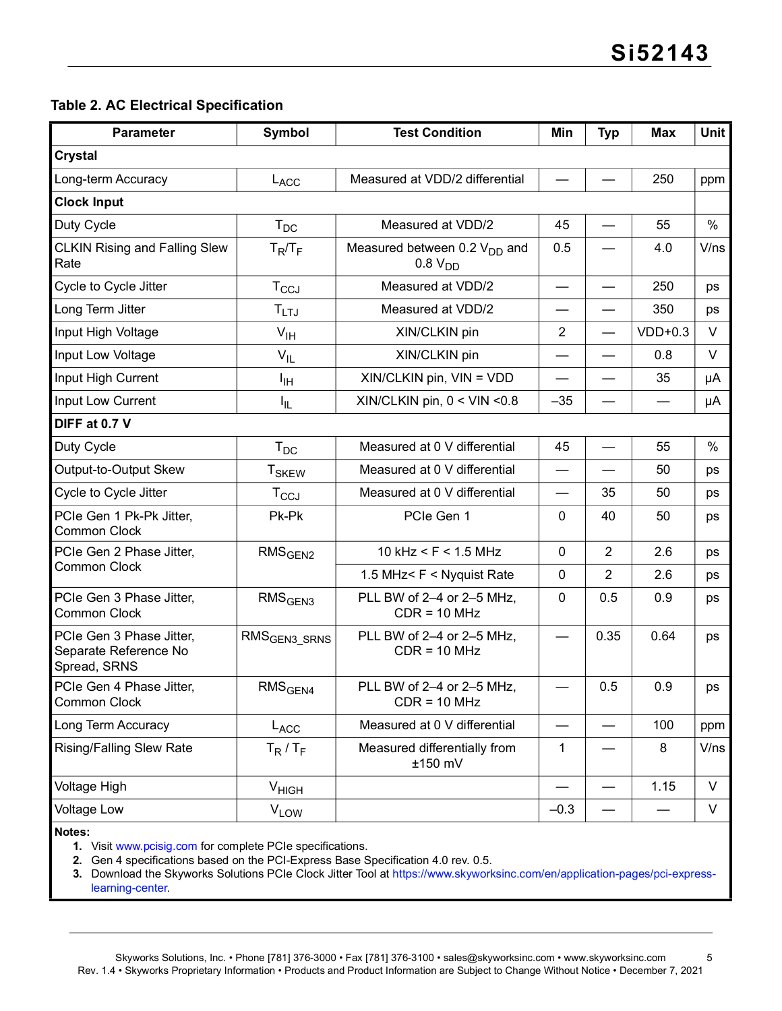#### <span id="page-4-0"></span>**Table 2. AC Electrical Specification**

| <b>Parameter</b>                                                  | <b>Symbol</b>                  | <b>Test Condition</b>                                    | Min            | <b>Typ</b>               | Max       | Unit   |
|-------------------------------------------------------------------|--------------------------------|----------------------------------------------------------|----------------|--------------------------|-----------|--------|
| <b>Crystal</b>                                                    |                                |                                                          |                |                          |           |        |
| Long-term Accuracy                                                | L <sub>ACC</sub>               | Measured at VDD/2 differential                           |                |                          | 250       | ppm    |
| <b>Clock Input</b>                                                |                                |                                                          |                |                          |           |        |
| Duty Cycle                                                        | $\mathsf{T}_{\mathsf{DC}}$     | Measured at VDD/2                                        | 45             |                          | 55        | $\%$   |
| <b>CLKIN Rising and Falling Slew</b><br>Rate                      | $T_R/T_F$                      | Measured between 0.2 $V_{DD}$ and<br>0.8 V <sub>DD</sub> | 0.5            |                          | 4.0       | V/ns   |
| Cycle to Cycle Jitter                                             | $T_{CCJ}$                      | Measured at VDD/2                                        |                |                          | 250       | ps     |
| Long Term Jitter                                                  | $T_{LTJ}$                      | Measured at VDD/2                                        |                |                          | 350       | ps     |
| Input High Voltage                                                | $V_{\text{IH}}$                | XIN/CLKIN pin                                            | $\overline{2}$ |                          | $VDD+0.3$ | $\vee$ |
| Input Low Voltage                                                 | $V_{IL}$                       | XIN/CLKIN pin                                            |                |                          | 0.8       | V      |
| Input High Current                                                | ŀщ                             | $XIN/CLKIN$ pin, $VIN = VDD$                             |                |                          | 35        | μA     |
| Input Low Current                                                 | I <sub>IL</sub>                | XIN/CLKIN pin, $0 <$ VIN < $0.8$                         | $-35$          |                          |           | μA     |
| DIFF at 0.7 V                                                     |                                |                                                          |                |                          |           |        |
| Duty Cycle                                                        | $T_{DC}$                       | Measured at 0 V differential                             | 45             |                          | 55        | $\%$   |
| Output-to-Output Skew                                             | <b>T<sub>SKEW</sub></b>        | Measured at 0 V differential                             |                |                          | 50        | ps     |
| Cycle to Cycle Jitter                                             | $T_{CCJ}$                      | Measured at 0 V differential                             |                | 35                       | 50        | ps     |
| PCIe Gen 1 Pk-Pk Jitter,<br>Common Clock                          | Pk-Pk                          | PCIe Gen 1                                               | 0              | 40                       | 50        | ps     |
| PCIe Gen 2 Phase Jitter,                                          | RMS <sub>GEN2</sub>            | 10 kHz < $F$ < 1.5 MHz                                   | $\mathbf 0$    | $\overline{2}$           | 2.6       | ps     |
| Common Clock                                                      |                                | 1.5 MHz< F < Nyquist Rate                                | $\mathbf 0$    | $\overline{2}$           | 2.6       | ps     |
| PCIe Gen 3 Phase Jitter,<br>Common Clock                          | RMS <sub>GEN3</sub>            | PLL BW of 2-4 or 2-5 MHz,<br>$CDR = 10 MHz$              | 0              | 0.5                      | 0.9       | ps     |
| PCIe Gen 3 Phase Jitter,<br>Separate Reference No<br>Spread, SRNS | RMS <sub>GEN3_SRNS</sub>       | PLL BW of 2-4 or 2-5 MHz,<br>$CDR = 10 MHz$              |                | 0.35                     | 0.64      | ps     |
| PCIe Gen 4 Phase Jitter,<br>Common Clock                          | $\mathsf{RMS}_{\mathsf{GEN4}}$ | PLL BW of 2-4 or 2-5 MHz,<br>$CDR = 10 MHz$              |                | 0.5                      | 0.9       | ps     |
| Long Term Accuracy                                                | L <sub>ACC</sub>               | Measured at 0 V differential                             |                |                          | 100       | ppm    |
| <b>Rising/Falling Slew Rate</b>                                   | $T_R/T_F$                      | Measured differentially from<br>±150 mV                  | 1              |                          | 8         | V/ns   |
| Voltage High                                                      | $V_{HIGH}$                     |                                                          |                | $\overline{\phantom{0}}$ | 1.15      | V      |
| <b>Voltage Low</b>                                                | V <sub>LOW</sub>               |                                                          | $-0.3$         | $\overline{\phantom{0}}$ |           | V      |

**Notes:**

**1.** Visit <www.pcisig.com>for complete PCIe specifications.

**2.** Gen 4 specifications based on the PCI-Express Base Specification 4.0 rev. 0.5.

**3.** Download the Skyworks Solutions PCIe Clock Jitter Tool at [https://www.skyworksinc.com/en/application-pages/pci-express](https://www.skyworksinc.com/en/application-pages/pci-express-learning-center)[learning-center.](https://www.skyworksinc.com/en/application-pages/pci-express-learning-center)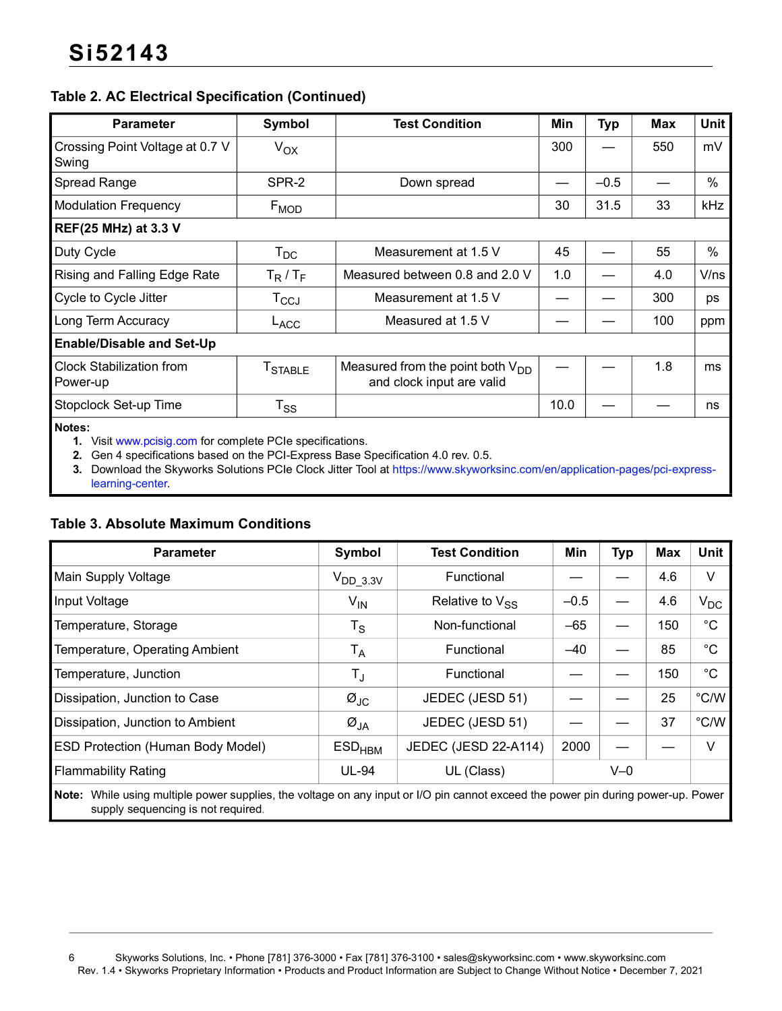#### **Table 2. AC Electrical Specification (Continued)**

| <b>Parameter</b>                            | Symbol          | <b>Test Condition</b>                                              | Min  | <b>Typ</b> | Max | <b>Unit</b> |
|---------------------------------------------|-----------------|--------------------------------------------------------------------|------|------------|-----|-------------|
| Crossing Point Voltage at 0.7 V<br>Swing    | $V_{OX}$        |                                                                    | 300  |            | 550 | mV          |
| Spread Range                                | SPR-2           | Down spread                                                        |      | $-0.5$     |     | %           |
| <b>Modulation Frequency</b>                 | $F_{MOD}$       |                                                                    | 30   | 31.5       | 33  | kHz         |
| <b>REF(25 MHz) at 3.3 V</b>                 |                 |                                                                    |      |            |     |             |
| Duty Cycle                                  | $T_{DC}$        | Measurement at 1.5 V                                               | 45   |            | 55  | $\%$        |
| Rising and Falling Edge Rate                | $T_R/T_F$       | Measured between 0.8 and 2.0 V                                     | 1.0  |            | 4.0 | V/ns        |
| Cycle to Cycle Jitter                       | $T_{\rm CCJ}$   | Measurement at 1.5 V                                               |      |            | 300 | ps          |
| Long Term Accuracy                          | LACC            | Measured at 1.5 V                                                  |      |            | 100 | ppm         |
| <b>Enable/Disable and Set-Up</b>            |                 |                                                                    |      |            |     |             |
| <b>Clock Stabilization from</b><br>Power-up | <b>T</b> STABLE | Measured from the point both $V_{DD}$<br>and clock input are valid |      |            | 1.8 | ms          |
| Stopclock Set-up Time                       | $T_{SS}$        |                                                                    | 10.0 |            |     | ns          |
|                                             |                 |                                                                    |      |            |     |             |

**Notes:**

**1.** Visit www.pcisig.com for complete PCIe specifications.

**2.** Gen 4 specifications based on the PCI-Express Base Specification 4.0 rev. 0.5.

**3.** Download the Skyworks Solutions PCIe Clock Jitter Tool at https://www.skyworksinc.com/en/application-pages/pci-expresslearning-center.

#### **Table 3. Absolute Maximum Conditions**

| <b>Parameter</b>                                                                                                                  | Symbol                        | <b>Test Condition</b> | Min    | <b>Typ</b> | <b>Max</b> | <b>Unit</b>    |
|-----------------------------------------------------------------------------------------------------------------------------------|-------------------------------|-----------------------|--------|------------|------------|----------------|
| <b>Main Supply Voltage</b>                                                                                                        | $V_{DD\_3.3V}$                | Functional            |        |            | 4.6        | V              |
| Input Voltage                                                                                                                     | $V_{IN}$                      | Relative to $V_{SS}$  | $-0.5$ |            | 4.6        | $V_{DC}$       |
| Temperature, Storage                                                                                                              | $\mathsf{T}_\mathsf{S}$       | Non-functional        | $-65$  |            | 150        | $^{\circ}$ C   |
| Temperature, Operating Ambient                                                                                                    | $\mathsf{T}_\mathsf{A}$       | Functional            | $-40$  |            | 85         | °C             |
| Temperature, Junction                                                                                                             | $T_{\text{J}}$                | Functional            |        |            | 150        | $^{\circ}$ C   |
| Dissipation, Junction to Case                                                                                                     | $\varnothing$ JC              | JEDEC (JESD 51)       |        |            | 25         | $^{\circ}$ C/W |
| Dissipation, Junction to Ambient                                                                                                  | $\varnothing_{JA}$            | JEDEC (JESD 51)       |        |            | 37         | $^{\circ}$ C/W |
| <b>ESD Protection (Human Body Model)</b>                                                                                          | $\mathsf{ESD}_{\mathsf{HBM}}$ | JEDEC (JESD 22-A114)  | 2000   |            |            | V              |
| <b>Flammability Rating</b>                                                                                                        | <b>UL-94</b>                  | UL (Class)            |        | $V=0$      |            |                |
| Note: While using multiple power supplies, the voltage on any input or I/O pin cannot exceed the power pin during power-up. Power |                               |                       |        |            |            |                |

supply sequencing is not required.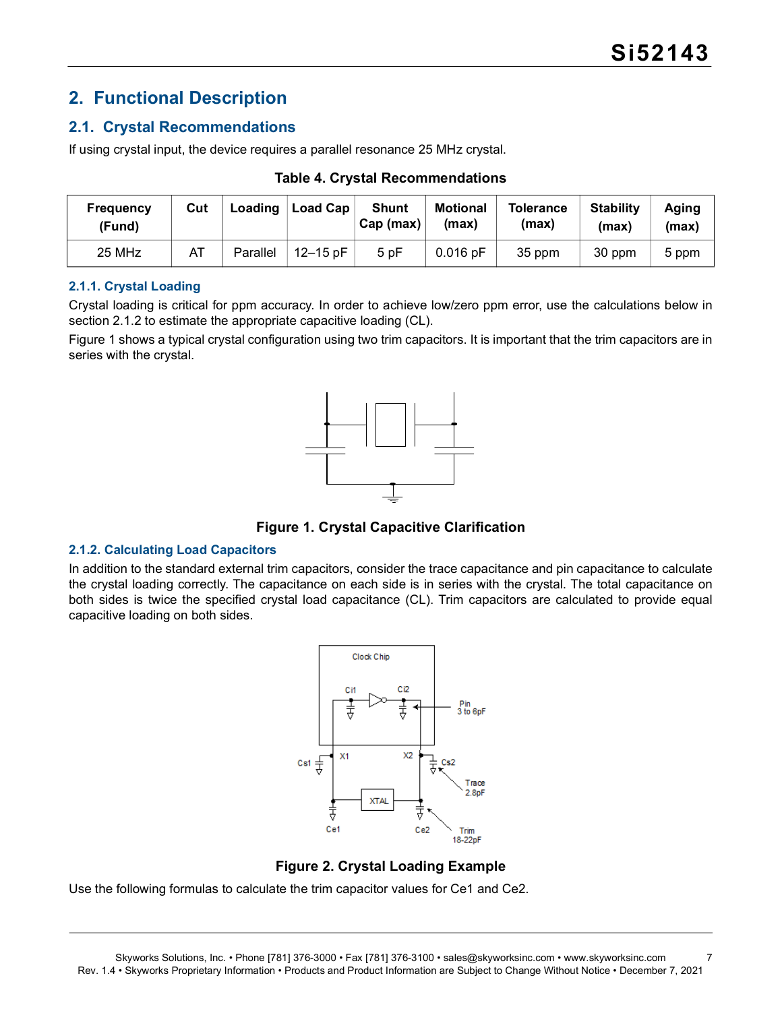## <span id="page-6-0"></span>**2. Functional Description**

#### <span id="page-6-1"></span>**2.1. Crystal Recommendations**

If using crystal input, the device requires a parallel resonance 25 MHz crystal.

| Frequency<br>(Fund) | Cut | Loading  | <b>Load Cap</b> | <b>Shunt</b><br>Cap (max) | <b>Motional</b><br>(max) | <b>Tolerance</b><br>(max) | <b>Stability</b><br>(max) | Aging<br>(max) |
|---------------------|-----|----------|-----------------|---------------------------|--------------------------|---------------------------|---------------------------|----------------|
| 25 MHz              | A1  | Parallel | $12 - 15$ pF    | 5pF                       | $0.016$ pF               | 35 ppm                    | 30 ppm                    | 5 ppm          |

**Table 4. Crystal Recommendations**

#### **2.1.1. Crystal Loading**

Crystal loading is critical for ppm accuracy. In order to achieve low/zero ppm error, use the calculations below in section [2.1.2](#page-6-2) to estimate the appropriate capacitive loading (CL).

[Figure 1](#page-6-3) shows a typical crystal configuration using two trim capacitors. It is important that the trim capacitors are in series with the crystal.



**Figure 1. Crystal Capacitive Clarification**

#### <span id="page-6-3"></span><span id="page-6-2"></span>**2.1.2. Calculating Load Capacitors**

In addition to the standard external trim capacitors, consider the trace capacitance and pin capacitance to calculate the crystal loading correctly. The capacitance on each side is in series with the crystal. The total capacitance on both sides is twice the specified crystal load capacitance (CL). Trim capacitors are calculated to provide equal capacitive loading on both sides.





Use the following formulas to calculate the trim capacitor values for Ce1 and Ce2.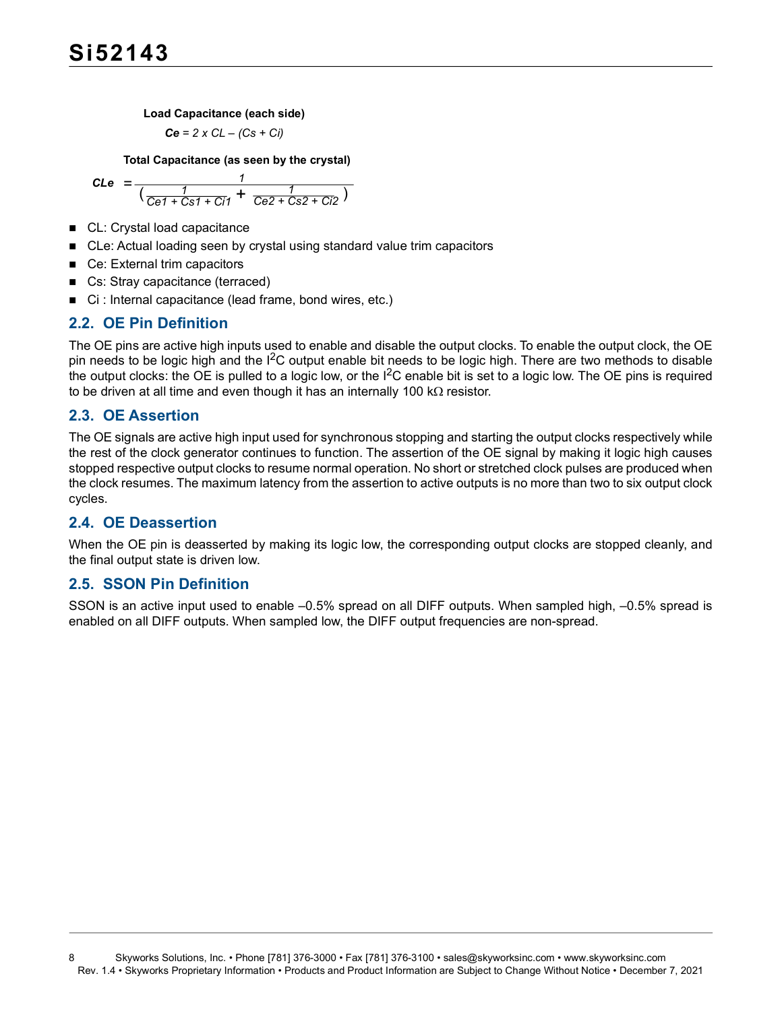**Load Capacitance (each side)**

$$
Ce = 2 \times CL - (Cs + Ci)
$$

**Total Capacitance (as seen by the crystal)**

$$
\text{CLe } = \frac{1}{\left(\frac{1}{\text{Ce1} + \text{Cs1} + \text{Ci1}} + \frac{1}{\text{Ce2} + \text{Cs2} + \text{Ci2}}\right)}
$$

- CL: Crystal load capacitance
- CLe: Actual loading seen by crystal using standard value trim capacitors
- Ce: External trim capacitors
- Cs: Stray capacitance (terraced)
- Ci : Internal capacitance (lead frame, bond wires, etc.)

#### <span id="page-7-0"></span>**2.2. OE Pin Definition**

The OE pins are active high inputs used to enable and disable the output clocks. To enable the output clock, the OE pin needs to be logic high and the I<sup>2</sup>C output enable bit needs to be logic high. There are two methods to disable the output clocks: the OE is pulled to a logic low, or the  $I^2C$  enable bit is set to a logic low. The OE pins is required to be driven at all time and even though it has an internally 100  $k\Omega$  resistor.

#### <span id="page-7-1"></span>**2.3. OE Assertion**

The OE signals are active high input used for synchronous stopping and starting the output clocks respectively while the rest of the clock generator continues to function. The assertion of the OE signal by making it logic high causes stopped respective output clocks to resume normal operation. No short or stretched clock pulses are produced when the clock resumes. The maximum latency from the assertion to active outputs is no more than two to six output clock cycles.

#### <span id="page-7-2"></span>**2.4. OE Deassertion**

When the OE pin is deasserted by making its logic low, the corresponding output clocks are stopped cleanly, and the final output state is driven low.

#### <span id="page-7-3"></span>**2.5. SSON Pin Definition**

SSON is an active input used to enable –0.5% spread on all DIFF outputs. When sampled high, –0.5% spread is enabled on all DIFF outputs. When sampled low, the DIFF output frequencies are non-spread.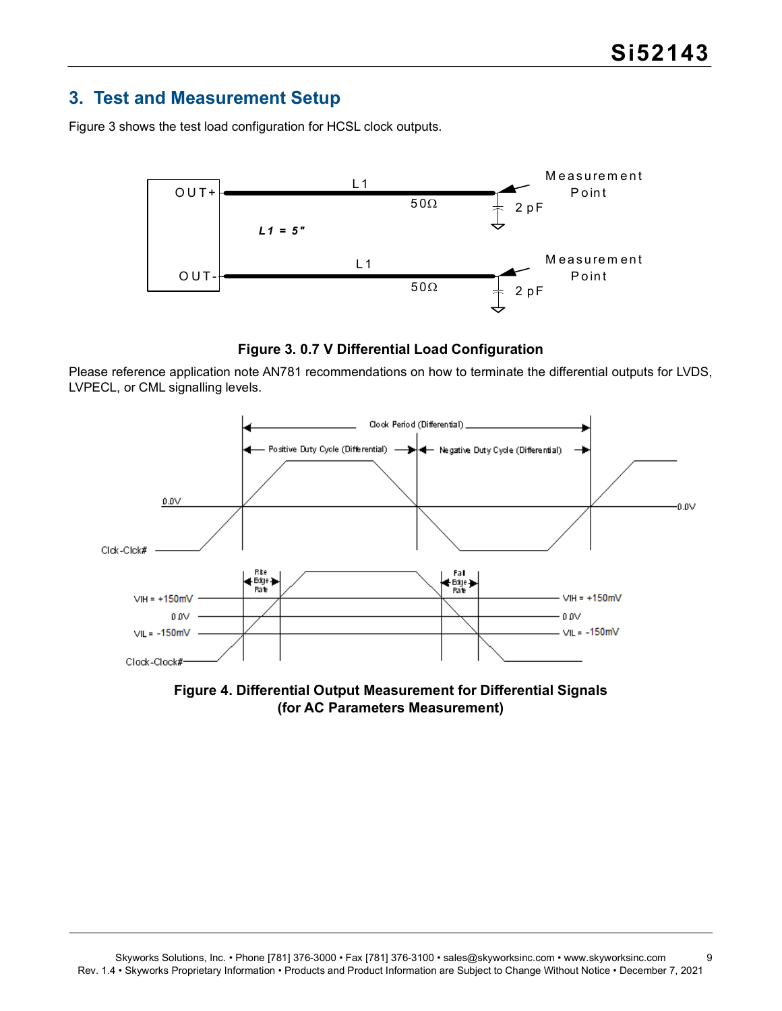### <span id="page-8-0"></span>**3. Test and Measurement Setup**

[Figure 3](#page-8-1) shows the test load configuration for HCSL clock outputs.



**Figure 3. 0.7 V Differential Load Configuration**

<span id="page-8-1"></span>Please reference application note AN781 recommendations on how to terminate the differential outputs for LVDS, LVPECL, or CML signalling levels.



**Figure 4. Differential Output Measurement for Differential Signals (for AC Parameters Measurement)**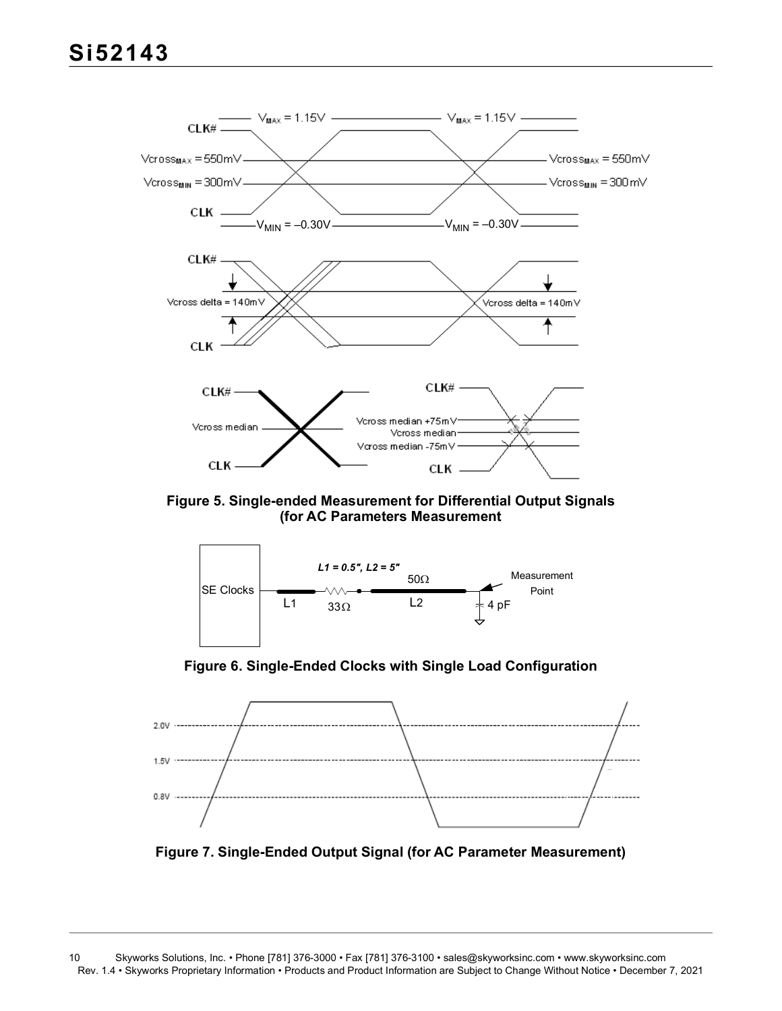

**Figure 5. Single-ended Measurement for Differential Output Signals (for AC Parameters Measurement**



**Figure 6. Single-Ended Clocks with Single Load Configuration**



**Figure 7. Single-Ended Output Signal (for AC Parameter Measurement)**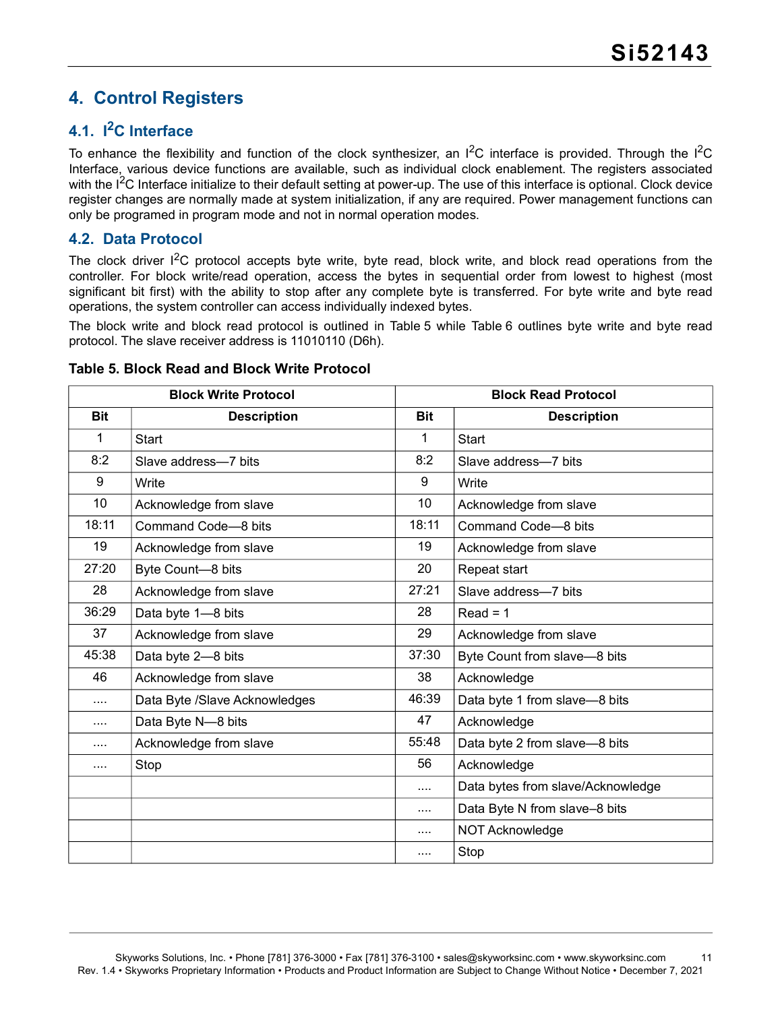## <span id="page-10-0"></span>**4. Control Registers**

### <span id="page-10-1"></span>**4.1. I2C Interface**

To enhance the flexibility and function of the clock synthesizer, an  $1^2C$  interface is provided. Through the  $1^2C$ Interface, various device functions are available, such as individual clock enablement. The registers associated with the  $I<sup>2</sup>C$  Interface initialize to their default setting at power-up. The use of this interface is optional. Clock device register changes are normally made at system initialization, if any are required. Power management functions can only be programed in program mode and not in normal operation modes.

#### <span id="page-10-2"></span>**4.2. Data Protocol**

The clock driver  $1^2C$  protocol accepts byte write, byte read, block write, and block read operations from the controller. For block write/read operation, access the bytes in sequential order from lowest to highest (most significant bit first) with the ability to stop after any complete byte is transferred. For byte write and byte read operations, the system controller can access individually indexed bytes.

The block write and block read protocol is outlined in [Table 5](#page-10-3) while [Table 6](#page-11-0) outlines byte write and byte read protocol. The slave receiver address is 11010110 (D6h).

| <b>Block Write Protocol</b> |                               |            | <b>Block Read Protocol</b>        |
|-----------------------------|-------------------------------|------------|-----------------------------------|
| <b>Bit</b>                  | <b>Description</b>            | <b>Bit</b> | <b>Description</b>                |
| $\mathbf 1$                 | <b>Start</b>                  | 1          | Start                             |
| 8:2                         | Slave address-7 bits          | 8:2        | Slave address-7 bits              |
| 9                           | Write                         | 9          | Write                             |
| 10                          | Acknowledge from slave        | 10         | Acknowledge from slave            |
| 18:11                       | Command Code-8 bits           | 18:11      | Command Code-8 bits               |
| 19                          | Acknowledge from slave        | 19         | Acknowledge from slave            |
| 27:20                       | Byte Count-8 bits             | 20         | Repeat start                      |
| 28                          | Acknowledge from slave        | 27:21      | Slave address-7 bits              |
| 36:29                       | Data byte 1-8 bits            | 28         | $Read = 1$                        |
| 37                          | Acknowledge from slave        | 29         | Acknowledge from slave            |
| 45:38                       | Data byte 2-8 bits            | 37:30      | Byte Count from slave-8 bits      |
| 46                          | Acknowledge from slave        | 38         | Acknowledge                       |
| $\cdots$                    | Data Byte /Slave Acknowledges | 46:39      | Data byte 1 from slave-8 bits     |
| $\cdots$                    | Data Byte N-8 bits            | 47         | Acknowledge                       |
| $\cdots$                    | Acknowledge from slave        | 55:48      | Data byte 2 from slave-8 bits     |
| $\cdots$                    | Stop                          | 56         | Acknowledge                       |
|                             |                               | $\cdots$   | Data bytes from slave/Acknowledge |
|                             |                               | $\cdots$   | Data Byte N from slave-8 bits     |
|                             |                               |            | NOT Acknowledge                   |
|                             |                               | $\cdots$   | Stop                              |

<span id="page-10-3"></span>**Table 5. Block Read and Block Write Protocol**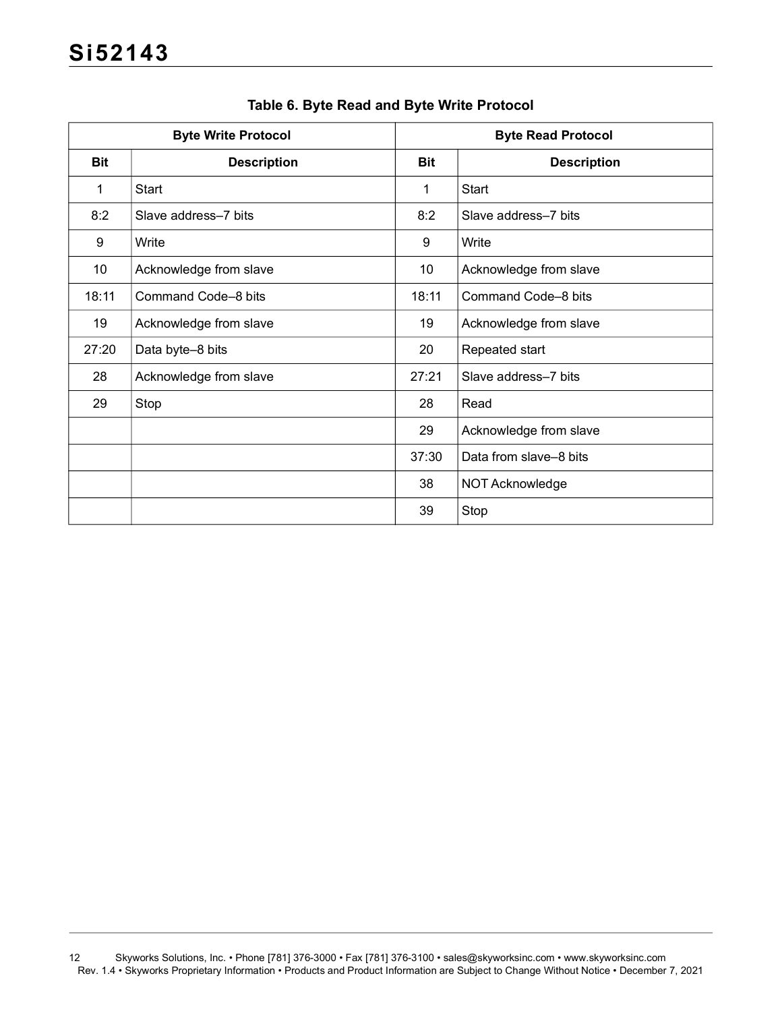<span id="page-11-0"></span>

|                 | <b>Byte Write Protocol</b> | <b>Byte Read Protocol</b> |                        |  |
|-----------------|----------------------------|---------------------------|------------------------|--|
| <b>Bit</b>      | <b>Description</b>         | <b>Bit</b>                | <b>Description</b>     |  |
| $\mathbf{1}$    | <b>Start</b>               | 1                         | Start                  |  |
| 8:2             | Slave address-7 bits       | 8:2                       | Slave address-7 bits   |  |
| 9               | Write                      | 9                         | Write                  |  |
| 10 <sup>°</sup> | Acknowledge from slave     | 10                        | Acknowledge from slave |  |
| 18:11           | Command Code-8 bits        | 18:11                     | Command Code-8 bits    |  |
| 19              | Acknowledge from slave     | 19                        | Acknowledge from slave |  |
| 27:20           | Data byte-8 bits           | 20                        | Repeated start         |  |
| 28              | Acknowledge from slave     | 27:21                     | Slave address-7 bits   |  |
| 29              | Stop                       | 28                        | Read                   |  |
|                 |                            | 29                        | Acknowledge from slave |  |
|                 |                            | 37:30                     | Data from slave-8 bits |  |
|                 |                            | 38                        | NOT Acknowledge        |  |
|                 |                            | 39                        | Stop                   |  |

#### **Table 6. Byte Read and Byte Write Protocol**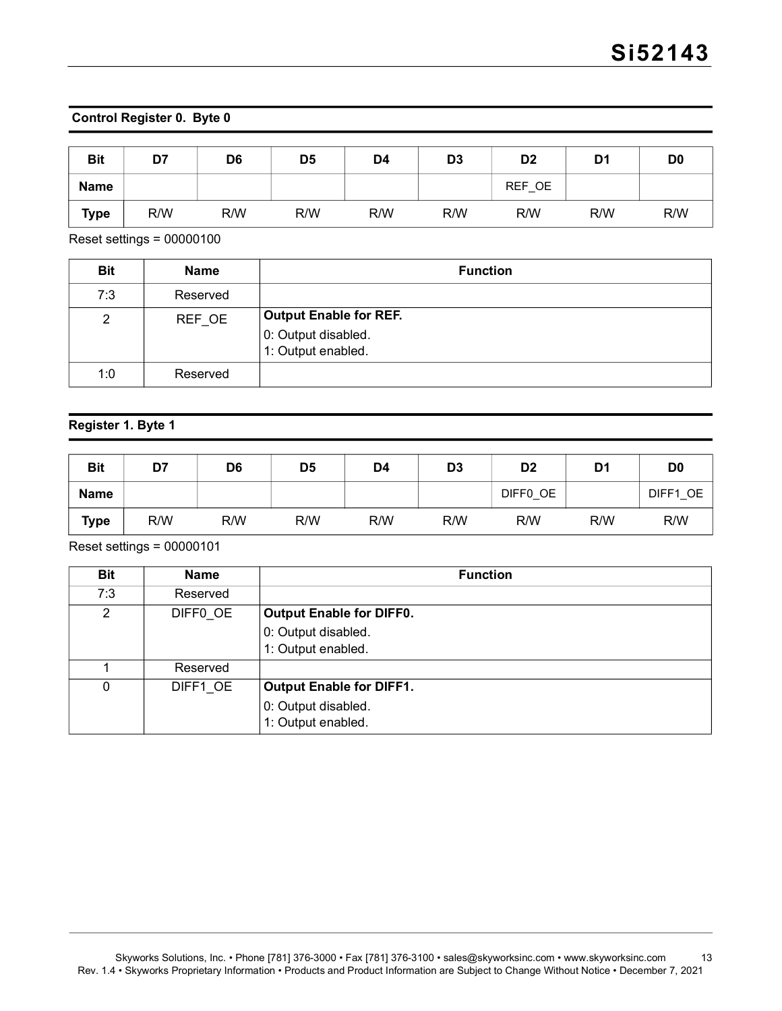#### **Control Register 0. Byte 0**

| <b>Bit</b>  | D7  | D <sub>6</sub> | D <sub>5</sub> | D <sub>4</sub> | D <sub>3</sub> | D <sub>2</sub> | D <sub>1</sub> | D <sub>0</sub> |
|-------------|-----|----------------|----------------|----------------|----------------|----------------|----------------|----------------|
| <b>Name</b> |     |                |                |                |                | REF OE         |                |                |
| <b>Type</b> | R/W | R/W            | R/W            | R/W            | R/W            | R/W            | R/W            | R/W            |

Reset settings = 00000100

| <b>Bit</b> | <b>Name</b> | <b>Function</b>                                                     |
|------------|-------------|---------------------------------------------------------------------|
| 7:3        | Reserved    |                                                                     |
| 2          | REF OE      | Output Enable for REF.<br>0: Output disabled.<br>1: Output enabled. |
| 1:0        | Reserved    |                                                                     |

#### **Register 1. Byte 1**

| <b>Bit</b>  | D7  | D <sub>6</sub> | D <sub>5</sub> | D4  | D <sub>3</sub> | D <sub>2</sub> | D <sub>1</sub> | D <sub>0</sub> |
|-------------|-----|----------------|----------------|-----|----------------|----------------|----------------|----------------|
| <b>Name</b> |     |                |                |     |                | DIFF0 OE       |                | DIFF1 OE       |
| <b>Type</b> | R/W | R/W            | R/W            | R/W | R/W            | R/W            | R/W            | R/W            |

Reset settings = 00000101

| <b>Bit</b> | <b>Name</b> | <b>Function</b>                 |
|------------|-------------|---------------------------------|
| 7:3        | Reserved    |                                 |
| 2          | DIFFO OE    | <b>Output Enable for DIFF0.</b> |
|            |             | 0: Output disabled.             |
|            |             | 1: Output enabled.              |
|            | Reserved    |                                 |
| 0          | DIFF1 OE    | <b>Output Enable for DIFF1.</b> |
|            |             | 0: Output disabled.             |
|            |             | 1: Output enabled.              |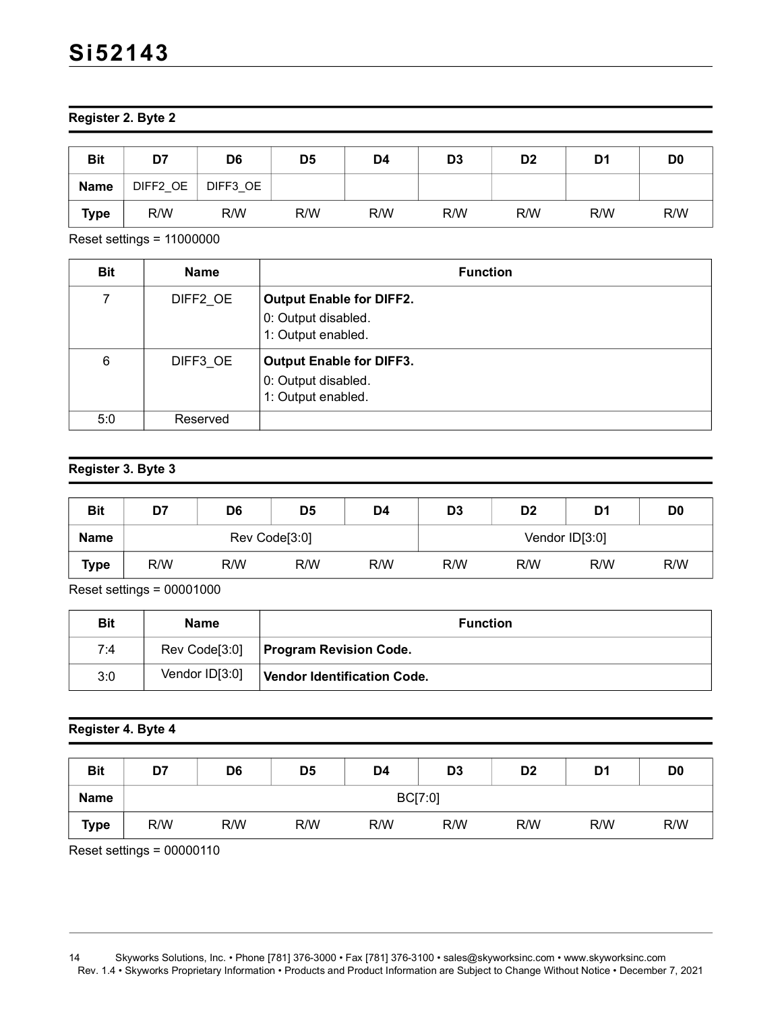**Register 2. Byte 2**

| <b>Bit</b>  | D7       | D <sub>6</sub> | D <sub>5</sub> | D <sub>4</sub> | D <sub>3</sub> | D <sub>2</sub> | D <sub>1</sub> | D <sub>0</sub> |
|-------------|----------|----------------|----------------|----------------|----------------|----------------|----------------|----------------|
| <b>Name</b> | DIFF2 OE | DIFF3 OE       |                |                |                |                |                |                |
| <b>Type</b> | R/W      | R/W            | R/W            | R/W            | R/W            | R/W            | R/W            | R/W            |

Reset settings = 11000000

| <b>Bit</b> | <b>Name</b> | <b>Function</b>                                                              |
|------------|-------------|------------------------------------------------------------------------------|
| 7          | DIFF2_OE    | <b>Output Enable for DIFF2.</b><br>0: Output disabled.<br>1: Output enabled. |
| 6          | DIFF3_OE    | <b>Output Enable for DIFF3.</b><br>0: Output disabled.<br>1: Output enabled. |
| 5:0        | Reserved    |                                                                              |

#### **Register 3. Byte 3**

| <b>Bit</b>  | D7            | D <sub>6</sub> | D <sub>5</sub> | D4  | D <sub>3</sub> | D <sub>2</sub> | D1  | D <sub>0</sub> |
|-------------|---------------|----------------|----------------|-----|----------------|----------------|-----|----------------|
| <b>Name</b> | Rev Code[3:0] |                |                |     | Vendor ID[3:0] |                |     |                |
| <b>Type</b> | R/W           | R/W            | R/W            | R/W | R/W            | R/W            | R/W | R/W            |

Reset settings = 00001000

| <b>Bit</b> | <b>Name</b>    | <b>Function</b>                    |
|------------|----------------|------------------------------------|
| 7:4        | Rev Code[3:0]  | <b>Program Revision Code.</b>      |
| 3:0        | Vendor ID[3:0] | <b>Vendor Identification Code.</b> |

#### **Register 4. Byte 4**

| <b>Bit</b>  | D7      | D <sub>6</sub> | D <sub>5</sub> | D4  | D <sub>3</sub> | D <sub>2</sub> | D <sub>1</sub> | D <sub>0</sub> |
|-------------|---------|----------------|----------------|-----|----------------|----------------|----------------|----------------|
| <b>Name</b> | BC[7:0] |                |                |     |                |                |                |                |
| <b>Type</b> | R/W     | R/W            | R/W            | R/W | R/W            | R/W            | R/W            | R/W            |

Reset settings = 00000110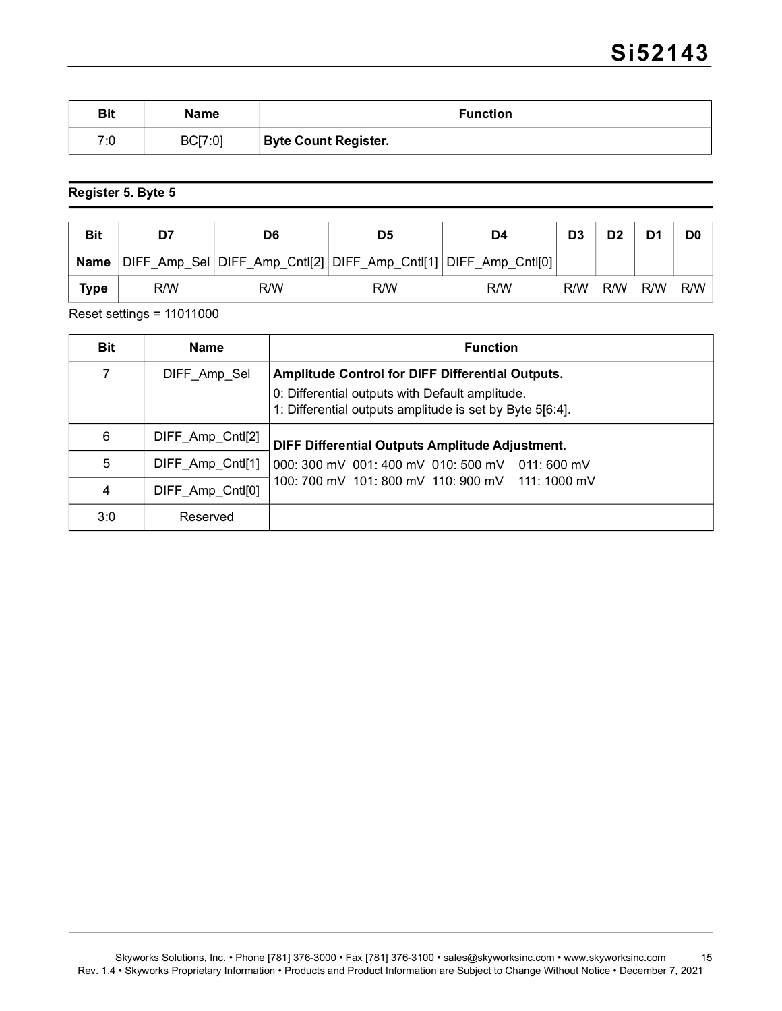| <b>Bit</b> | <b>Name</b> | <b>Function</b>             |
|------------|-------------|-----------------------------|
| 7:0        | BC[7:0]     | <b>Byte Count Register.</b> |

#### **Register 5. Byte 5**

| <b>Bit</b>  | D7  | D6  | D <sub>5</sub> | D4  | D <sub>3</sub> | D <sub>2</sub> | D <sub>1</sub> | D <sub>0</sub> |
|-------------|-----|-----|----------------|-----|----------------|----------------|----------------|----------------|
| <b>Name</b> |     |     |                |     |                |                |                |                |
| Type        | R/W | R/W | R/W            | R/W | R/W            | R/W            | R/W            | R/W            |

Reset settings = 11011000

| <b>Bit</b> | <b>Name</b>      | <b>Function</b>                                                                                                                                                        |  |  |  |
|------------|------------------|------------------------------------------------------------------------------------------------------------------------------------------------------------------------|--|--|--|
| 7          | DIFF Amp Sel     | <b>Amplitude Control for DIFF Differential Outputs.</b><br>0: Differential outputs with Default amplitude.<br>1: Differential outputs amplitude is set by Byte 5[6:4]. |  |  |  |
| 6          | DIFF_Amp_Cntl[2] | DIFF Differential Outputs Amplitude Adjustment.                                                                                                                        |  |  |  |
| 5          | DIFF Amp Cntl[1] | 000: 300 mV 001: 400 mV 010: 500 mV 011: 600 mV                                                                                                                        |  |  |  |
| 4          | DIFF Amp Cntl[0] | 100: 700 mV 101: 800 mV 110: 900 mV 111: 1000 mV                                                                                                                       |  |  |  |
| 3:0        | Reserved         |                                                                                                                                                                        |  |  |  |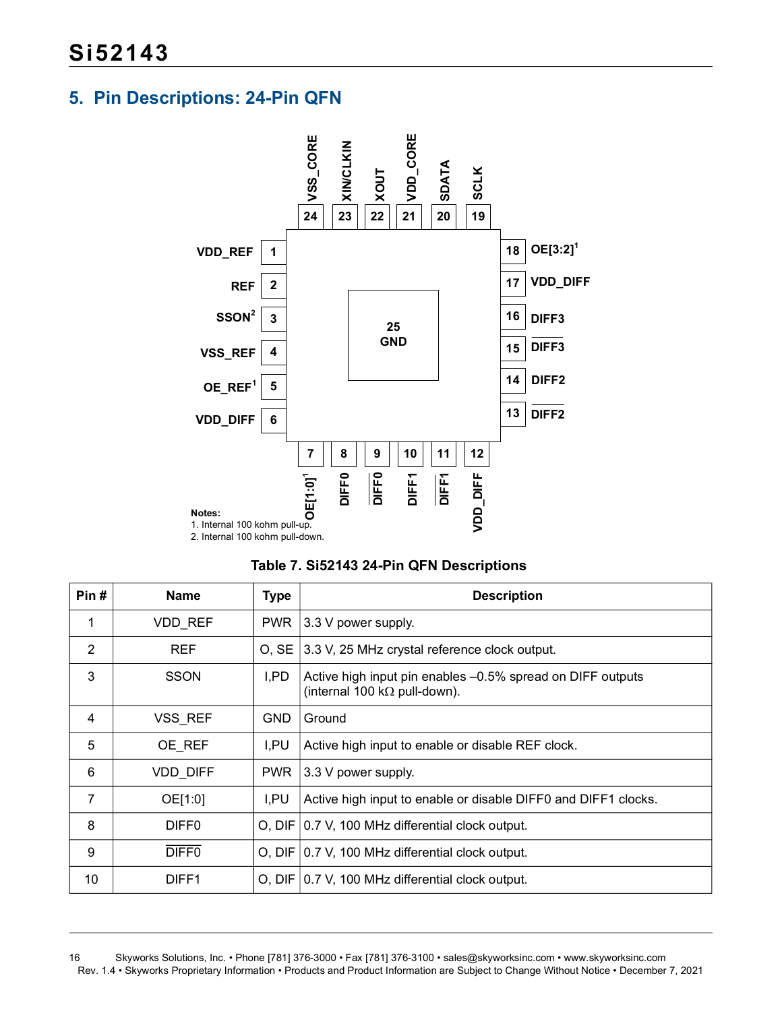## <span id="page-15-0"></span>**5. Pin Descriptions: 24-Pin QFN**





| Pin# | <b>Name</b>       | <b>Type</b> | <b>Description</b>                                                                                 |  |
|------|-------------------|-------------|----------------------------------------------------------------------------------------------------|--|
| 1    | <b>VDD REF</b>    | <b>PWR</b>  | 3.3 V power supply.                                                                                |  |
| 2    | <b>REF</b>        | O, SE       | 3.3 V, 25 MHz crystal reference clock output.                                                      |  |
| 3    | <b>SSON</b>       | I,PD        | Active high input pin enables -0.5% spread on DIFF outputs<br>(internal 100 k $\Omega$ pull-down). |  |
| 4    | VSS_REF           | <b>GND</b>  | Ground                                                                                             |  |
| 5    | OE REF            | I,PU        | Active high input to enable or disable REF clock.                                                  |  |
| 6    | VDD_DIFF          | <b>PWR</b>  | 3.3 V power supply.                                                                                |  |
| 7    | OE[1:0]           | I.PU        | Active high input to enable or disable DIFF0 and DIFF1 clocks.                                     |  |
| 8    | DIFF <sub>0</sub> |             | O, DIF   0.7 V, 100 MHz differential clock output.                                                 |  |
| 9    | DIFF <sub>0</sub> |             | O, DIF   0.7 V, 100 MHz differential clock output.                                                 |  |
| 10   | DIFF1             |             | O, DIF   0.7 V, 100 MHz differential clock output.                                                 |  |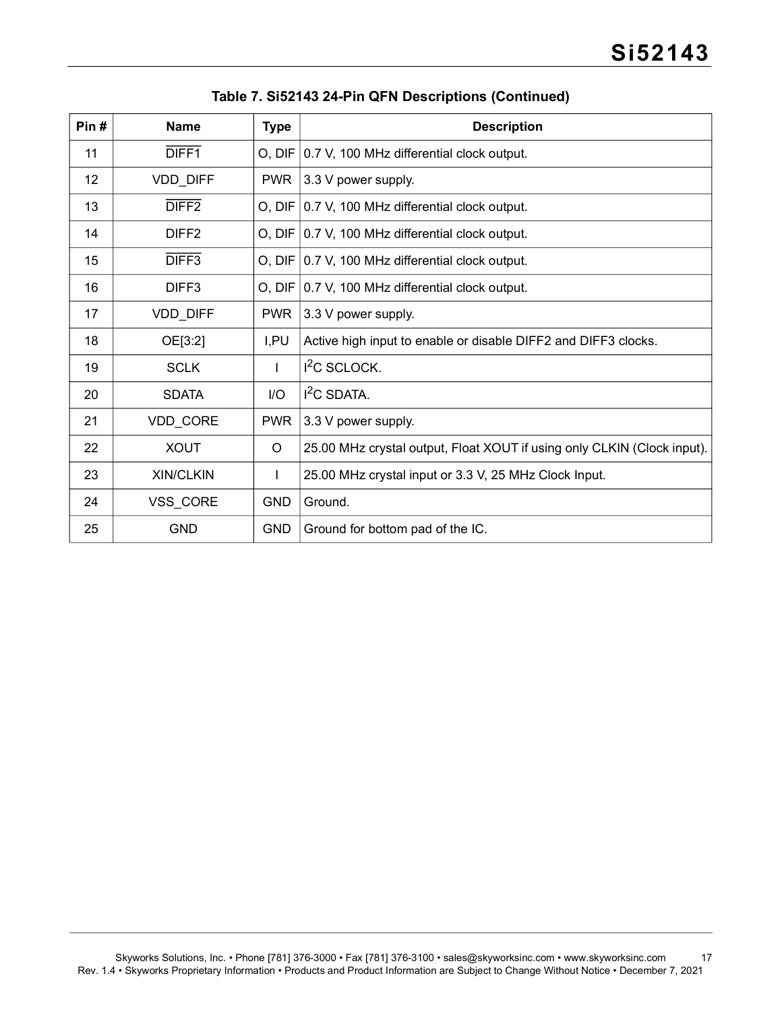| Pin# | <b>Name</b>       | <b>Type</b>  | <b>Description</b>                                                      |
|------|-------------------|--------------|-------------------------------------------------------------------------|
| 11   | DIFF <sub>1</sub> |              | O, DIF   0.7 V, 100 MHz differential clock output.                      |
| 12   | VDD_DIFF          | <b>PWR</b>   | 3.3 V power supply.                                                     |
| 13   | DIFF <sub>2</sub> |              | O, DIF 0.7 V, 100 MHz differential clock output.                        |
| 14   | DIFF <sub>2</sub> |              | O, DIF   0.7 V, 100 MHz differential clock output.                      |
| 15   | DIFF3             |              | O, DIF   0.7 V, 100 MHz differential clock output.                      |
| 16   | DIFF <sub>3</sub> |              | O, DIF 0.7 V, 100 MHz differential clock output.                        |
| 17   | VDD_DIFF          | <b>PWR</b>   | 3.3 V power supply.                                                     |
| 18   | OE[3:2]           | I,PU         | Active high input to enable or disable DIFF2 and DIFF3 clocks.          |
| 19   | <b>SCLK</b>       | $\mathbf{L}$ | <sup>2</sup> C SCLOCK.                                                  |
| 20   | <b>SDATA</b>      | I/O          | $I2C$ SDATA.                                                            |
| 21   | VDD_CORE          | <b>PWR</b>   | 3.3 V power supply.                                                     |
| 22   | <b>XOUT</b>       | $\circ$      | 25.00 MHz crystal output, Float XOUT if using only CLKIN (Clock input). |
| 23   | <b>XIN/CLKIN</b>  | L            | 25.00 MHz crystal input or 3.3 V, 25 MHz Clock Input.                   |
| 24   | VSS_CORE          | <b>GND</b>   | Ground.                                                                 |
| 25   | <b>GND</b>        | <b>GND</b>   | Ground for bottom pad of the IC.                                        |

**Table 7. Si52143 24-Pin QFN Descriptions (Continued)**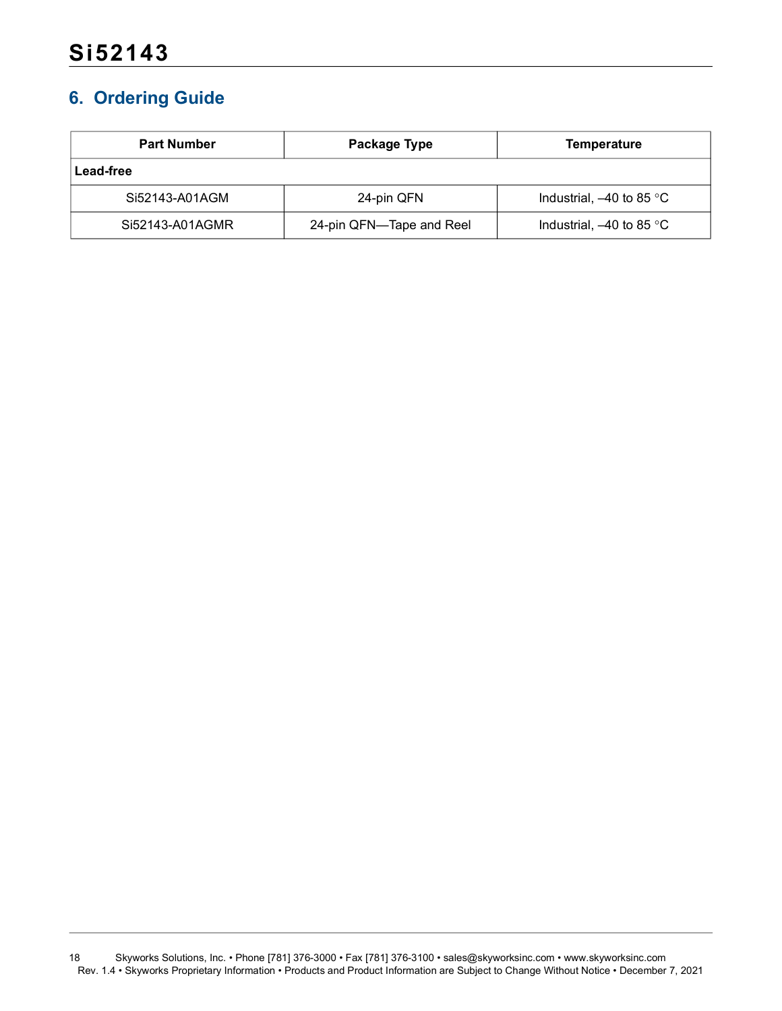## <span id="page-17-0"></span>**6. Ordering Guide**

| <b>Part Number</b> | Package Type             | Temperature                |  |
|--------------------|--------------------------|----------------------------|--|
| Lead-free          |                          |                            |  |
| Si52143-A01AGM     | 24-pin QFN               | Industrial, $-40$ to 85 °C |  |
| Si52143-A01AGMR    | 24-pin QFN—Tape and Reel | Industrial, $-40$ to 85 °C |  |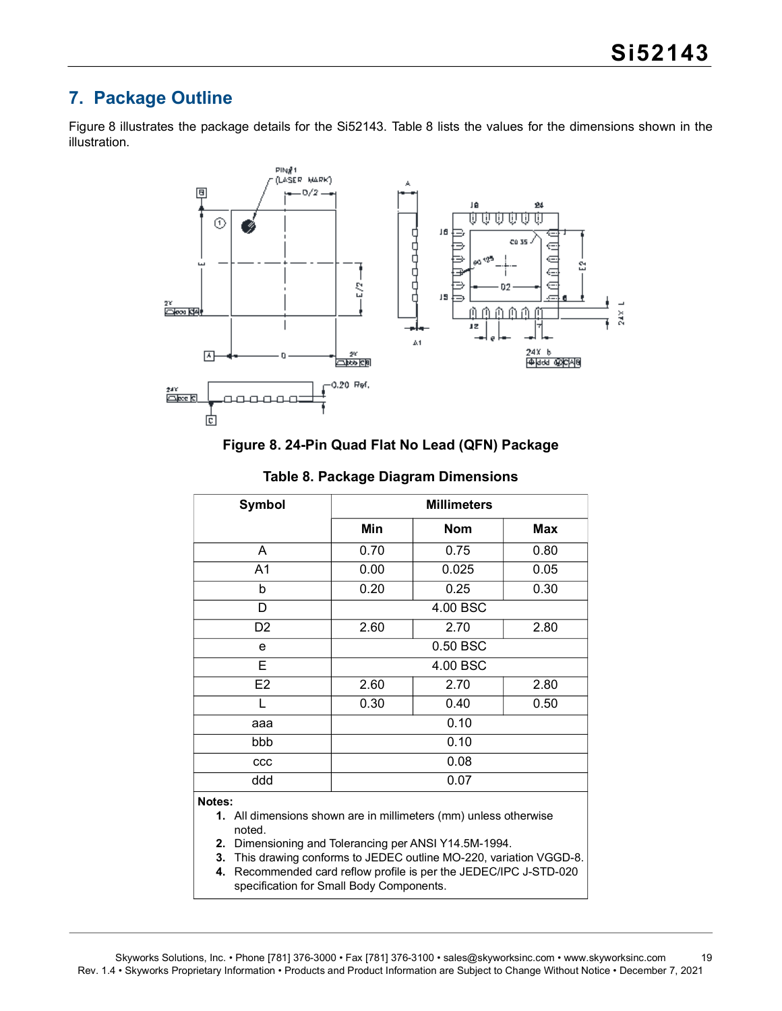## <span id="page-18-0"></span>**7. Package Outline**

[Figure 8](#page-18-1) illustrates the package details for the Si52143. [Table 8](#page-18-2) lists the values for the dimensions shown in the illustration.



#### **Figure 8. 24-Pin Quad Flat No Lead (QFN) Package**

<span id="page-18-2"></span><span id="page-18-1"></span>

| Symbol                                                                                                                                                                                                                  | <b>Millimeters</b> |            |            |  |  |
|-------------------------------------------------------------------------------------------------------------------------------------------------------------------------------------------------------------------------|--------------------|------------|------------|--|--|
|                                                                                                                                                                                                                         | Min                | <b>Nom</b> | <b>Max</b> |  |  |
| A                                                                                                                                                                                                                       | 0.70               | 0.75       | 0.80       |  |  |
| A1                                                                                                                                                                                                                      | 0.00               | 0.025      | 0.05       |  |  |
| b                                                                                                                                                                                                                       | 0.20               | 0.25       | 0.30       |  |  |
| D                                                                                                                                                                                                                       |                    | 4.00 BSC   |            |  |  |
| D <sub>2</sub>                                                                                                                                                                                                          | 2.60               | 2.70       | 2.80       |  |  |
| e                                                                                                                                                                                                                       | 0.50 BSC           |            |            |  |  |
| E                                                                                                                                                                                                                       | 4.00 BSC           |            |            |  |  |
| E <sub>2</sub>                                                                                                                                                                                                          | 2.60               | 2.70       | 2.80       |  |  |
| L                                                                                                                                                                                                                       | 0.30               | 0.40       | 0.50       |  |  |
| aaa                                                                                                                                                                                                                     | 0.10               |            |            |  |  |
| bbb                                                                                                                                                                                                                     | 0.10               |            |            |  |  |
| CCC                                                                                                                                                                                                                     | 0.08               |            |            |  |  |
| ddd                                                                                                                                                                                                                     | 0.07               |            |            |  |  |
| Notes:<br>1. All dimensions shown are in millimeters (mm) unless otherwise<br>noted.<br>Dimensioning and Tolerancing per ANSI Y14.5M-1994.<br>2.<br>3. This drawing conforms to JEDEC outline MO-220, variation VGGD-8. |                    |            |            |  |  |

#### **Table 8. Package Diagram Dimensions**

**4.** Recommended card reflow profile is per the JEDEC/IPC J-STD-020 specification for Small Body Components.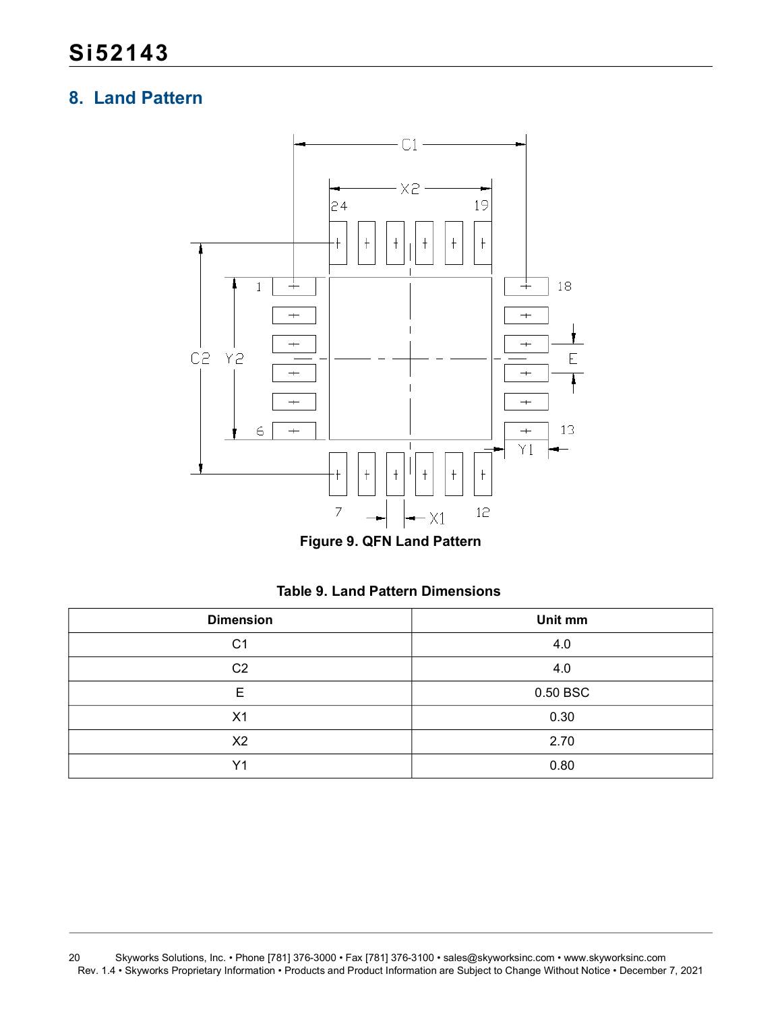## <span id="page-19-0"></span>**8. Land Pattern**



**Figure 9. QFN Land Pattern**

|  |  |  | Table 9. Land Pattern Dimensions |
|--|--|--|----------------------------------|
|--|--|--|----------------------------------|

| <b>Dimension</b> | Unit mm  |
|------------------|----------|
| C <sub>1</sub>   | 4.0      |
| C <sub>2</sub>   | 4.0      |
| E                | 0.50 BSC |
| X <sub>1</sub>   | 0.30     |
| X <sub>2</sub>   | 2.70     |
| Y <sub>1</sub>   | 0.80     |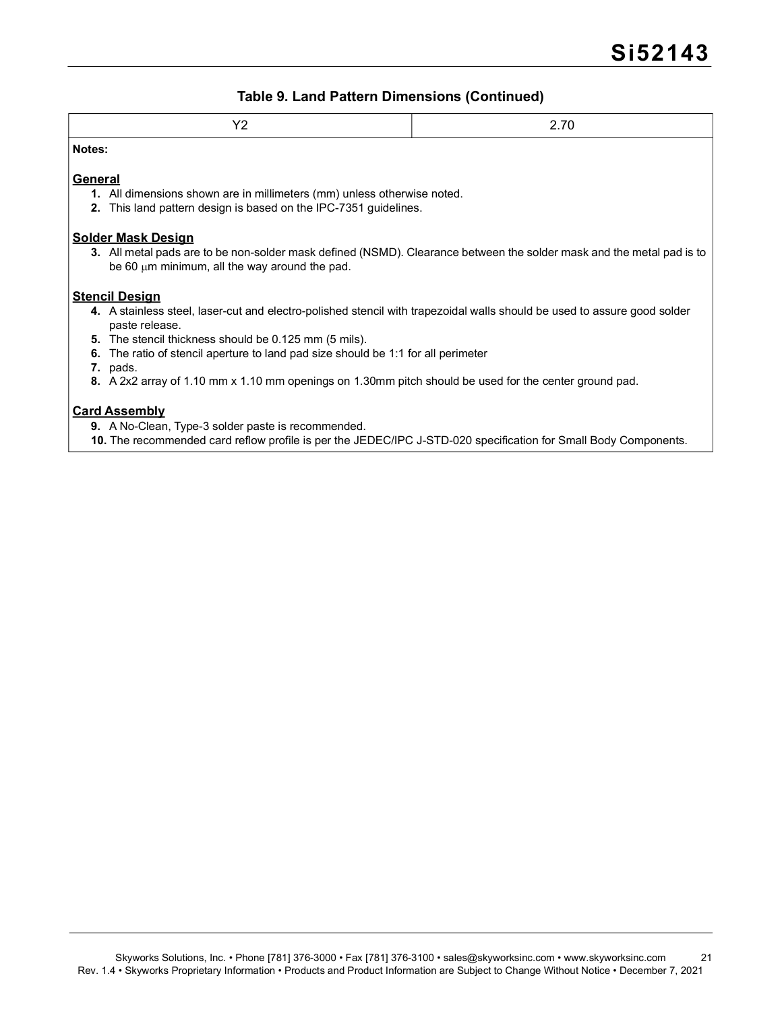#### **Table 9. Land Pattern Dimensions (Continued)**

| $\sqrt{c}$<br>$-$ | 270<br>$\sim$<br>∼ |
|-------------------|--------------------|
| <b>Notes:</b>     |                    |

#### **General**

- **1.** All dimensions shown are in millimeters (mm) unless otherwise noted.
- **2.** This land pattern design is based on the IPC-7351 guidelines.

#### **Solder Mask Design**

**3.** All metal pads are to be non-solder mask defined (NSMD). Clearance between the solder mask and the metal pad is to be 60  $\mu$ m minimum, all the way around the pad.

#### **Stencil Design**

- **4.** A stainless steel, laser-cut and electro-polished stencil with trapezoidal walls should be used to assure good solder paste release.
- **5.** The stencil thickness should be 0.125 mm (5 mils).
- **6.** The ratio of stencil aperture to land pad size should be 1:1 for all perimeter
- **7.** pads.
- **8.** A 2x2 array of 1.10 mm x 1.10 mm openings on 1.30mm pitch should be used for the center ground pad.

#### **Card Assembly**

- **9.** A No-Clean, Type-3 solder paste is recommended.
- **10.** The recommended card reflow profile is per the JEDEC/IPC J-STD-020 specification for Small Body Components.